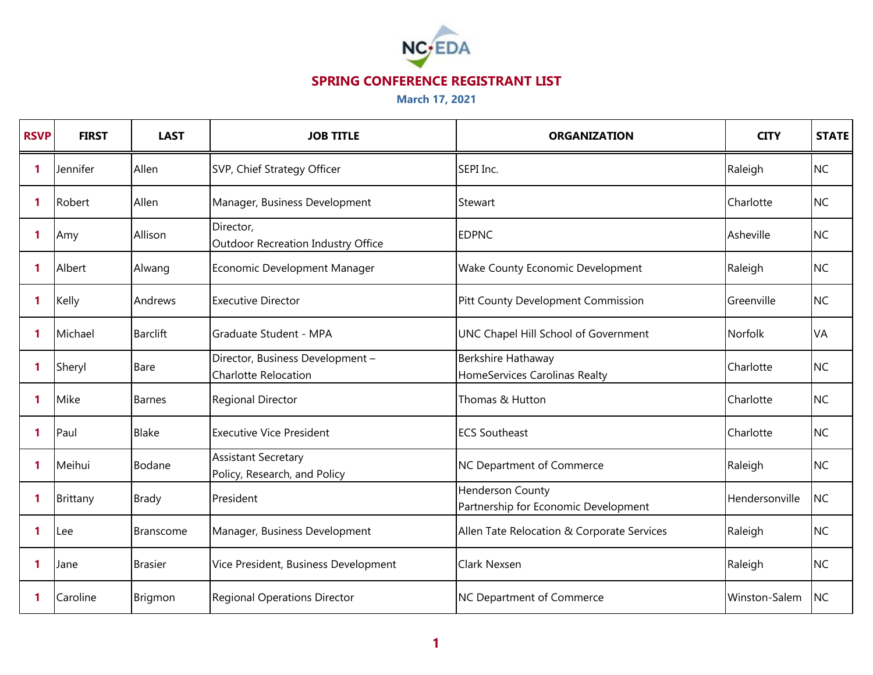

| <b>RSVP</b> | <b>FIRST</b> | <b>LAST</b>      | <b>JOB TITLE</b>                                                | <b>ORGANIZATION</b>                                      | <b>CITY</b>    | <b>STATE</b> |
|-------------|--------------|------------------|-----------------------------------------------------------------|----------------------------------------------------------|----------------|--------------|
| 1           | Jennifer     | Allen            | SVP, Chief Strategy Officer                                     | SEPI Inc.                                                | Raleigh        | <b>NC</b>    |
| 1           | Robert       | Allen            | Manager, Business Development                                   | Stewart                                                  | Charlotte      | <b>NC</b>    |
| 1           | Amy          | Allison          | Director,<br>Outdoor Recreation Industry Office                 | <b>EDPNC</b>                                             | Asheville      | <b>NC</b>    |
| 1           | Albert       | Alwang           | Economic Development Manager                                    | Wake County Economic Development                         | Raleigh        | <b>NC</b>    |
| 1           | Kelly        | Andrews          | <b>Executive Director</b>                                       | Pitt County Development Commission                       | Greenville     | <b>NC</b>    |
| 1           | Michael      | <b>Barclift</b>  | Graduate Student - MPA                                          | UNC Chapel Hill School of Government                     | <b>Norfolk</b> | VA           |
| 1           | Sheryl       | Bare             | Director, Business Development -<br><b>Charlotte Relocation</b> | Berkshire Hathaway<br>HomeServices Carolinas Realty      | Charlotte      | <b>NC</b>    |
| 1           | Mike         | <b>Barnes</b>    | <b>Regional Director</b>                                        | Thomas & Hutton                                          | Charlotte      | <b>NC</b>    |
| 1           | Paul         | <b>Blake</b>     | <b>Executive Vice President</b>                                 | <b>ECS Southeast</b>                                     | Charlotte      | <b>NC</b>    |
| 1           | Meihui       | Bodane           | <b>Assistant Secretary</b><br>Policy, Research, and Policy      | <b>NC Department of Commerce</b>                         | Raleigh        | <b>NC</b>    |
| 1           | Brittany     | <b>Brady</b>     | President                                                       | Henderson County<br>Partnership for Economic Development | Hendersonville | <b>NC</b>    |
| 1           | Lee          | <b>Branscome</b> | Manager, Business Development                                   | Allen Tate Relocation & Corporate Services               | Raleigh        | <b>NC</b>    |
| 1           | Jane         | <b>Brasier</b>   | Vice President, Business Development                            | <b>Clark Nexsen</b>                                      | Raleigh        | <b>NC</b>    |
| 1           | Caroline     | Brigmon          | <b>Regional Operations Director</b>                             | <b>NC Department of Commerce</b>                         | Winston-Salem  | <b>NC</b>    |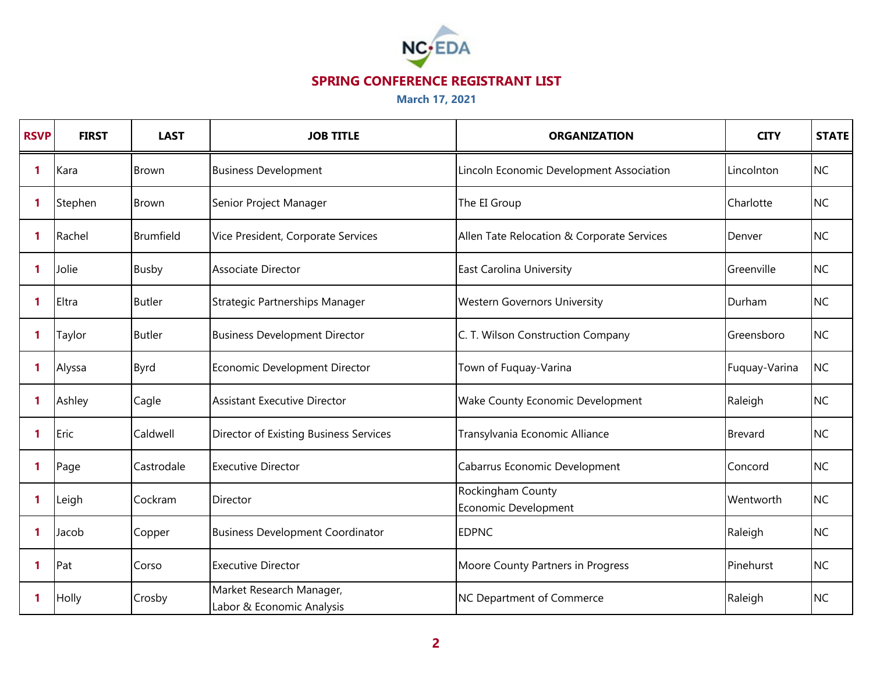

| <b>RSVP</b>  | <b>FIRST</b> | <b>LAST</b>   | <b>JOB TITLE</b>                                      | <b>ORGANIZATION</b>                        | <b>CITY</b>    | <b>STATE</b> |
|--------------|--------------|---------------|-------------------------------------------------------|--------------------------------------------|----------------|--------------|
| $\mathbf{1}$ | Kara         | <b>Brown</b>  | <b>Business Development</b>                           | Lincoln Economic Development Association   | Lincolnton     | <b>NC</b>    |
| $\mathbf{1}$ | Stephen      | <b>Brown</b>  | Senior Project Manager                                | The EI Group                               | Charlotte      | <b>NC</b>    |
| $\mathbf{1}$ | Rachel       | Brumfield     | Vice President, Corporate Services                    | Allen Tate Relocation & Corporate Services | Denver         | <b>NC</b>    |
| -1           | Jolie        | <b>Busby</b>  | Associate Director                                    | <b>East Carolina University</b>            | Greenville     | <b>NC</b>    |
| $\mathbf{1}$ | Eltra        | <b>Butler</b> | Strategic Partnerships Manager                        | <b>Western Governors University</b>        | Durham         | <b>NC</b>    |
| $\mathbf{1}$ | Taylor       | <b>Butler</b> | <b>Business Development Director</b>                  | C. T. Wilson Construction Company          | Greensboro     | <b>NC</b>    |
| 1            | Alyssa       | <b>Byrd</b>   | Economic Development Director                         | Town of Fuquay-Varina                      | Fuquay-Varina  | <b>NC</b>    |
| 1            | Ashley       | Cagle         | <b>Assistant Executive Director</b>                   | Wake County Economic Development           | Raleigh        | <b>NC</b>    |
| $\mathbf{1}$ | Eric         | Caldwell      | Director of Existing Business Services                | Transylvania Economic Alliance             | <b>Brevard</b> | <b>NC</b>    |
| $\mathbf{1}$ | Page         | Castrodale    | <b>Executive Director</b>                             | Cabarrus Economic Development              | Concord        | <b>NC</b>    |
| $\mathbf{1}$ | Leigh        | Cockram       | Director                                              | Rockingham County<br>Economic Development  | Wentworth      | <b>NC</b>    |
| $\mathbf{1}$ | Jacob        | Copper        | <b>Business Development Coordinator</b>               | <b>EDPNC</b>                               | Raleigh        | <b>NC</b>    |
| 1            | Pat          | Corso         | <b>Executive Director</b>                             | Moore County Partners in Progress          | Pinehurst      | <b>NC</b>    |
| 1            | Holly        | Crosby        | Market Research Manager,<br>Labor & Economic Analysis | NC Department of Commerce                  | Raleigh        | <b>NC</b>    |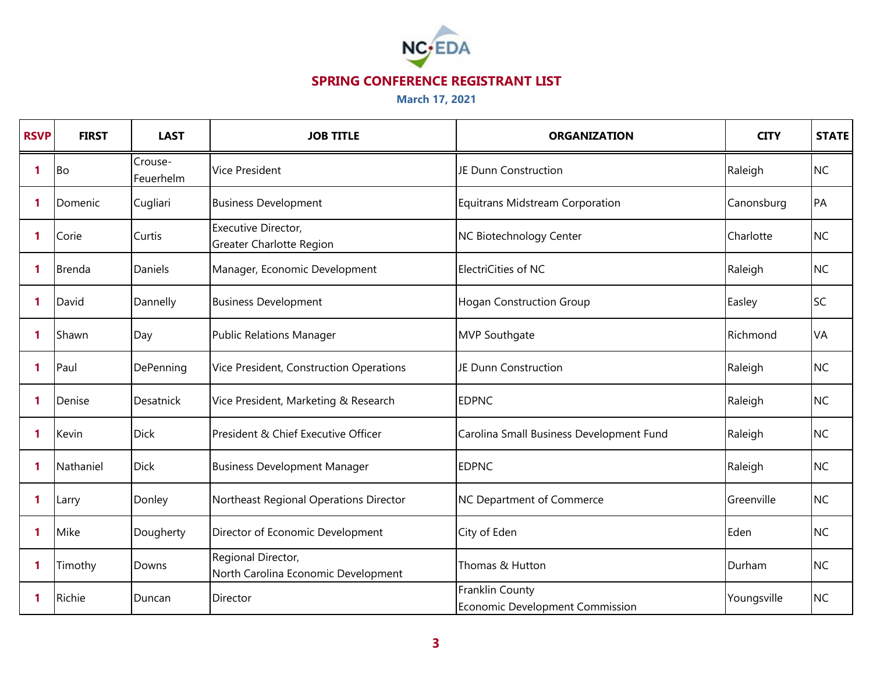

| <b>RSVP</b>  | <b>FIRST</b>  | <b>LAST</b>          | <b>JOB TITLE</b>                                          | <b>ORGANIZATION</b>                                       | <b>CITY</b> | <b>STATE</b> |
|--------------|---------------|----------------------|-----------------------------------------------------------|-----------------------------------------------------------|-------------|--------------|
| 1            | <b>Bo</b>     | Crouse-<br>Feuerhelm | <b>Vice President</b>                                     | JE Dunn Construction                                      | Raleigh     | <b>NC</b>    |
| -1           | Domenic       | Cugliari             | <b>Business Development</b>                               | <b>Equitrans Midstream Corporation</b>                    | Canonsburg  | PA           |
| 1            | Corie         | Curtis               | Executive Director,<br>Greater Charlotte Region           | NC Biotechnology Center                                   | Charlotte   | <b>NC</b>    |
| $\mathbf{1}$ | <b>Brenda</b> | Daniels              | Manager, Economic Development                             | ElectriCities of NC                                       | Raleigh     | <b>NC</b>    |
| $\mathbf{1}$ | David         | Dannelly             | <b>Business Development</b>                               | <b>Hogan Construction Group</b>                           | Easley      | <b>SC</b>    |
| -1           | Shawn         | Day                  | <b>Public Relations Manager</b>                           | <b>MVP Southgate</b>                                      | Richmond    | <b>VA</b>    |
| $\mathbf{1}$ | Paul          | DePenning            | Vice President, Construction Operations                   | JE Dunn Construction                                      | Raleigh     | <b>NC</b>    |
| $\mathbf{1}$ | Denise        | Desatnick            | Vice President, Marketing & Research                      | <b>EDPNC</b>                                              | Raleigh     | <b>NC</b>    |
| $\mathbf{1}$ | Kevin         | <b>Dick</b>          | President & Chief Executive Officer                       | Carolina Small Business Development Fund                  | Raleigh     | <b>NC</b>    |
| $\mathbf{1}$ | Nathaniel     | <b>Dick</b>          | <b>Business Development Manager</b>                       | <b>EDPNC</b>                                              | Raleigh     | <b>NC</b>    |
| 1            | Larry         | Donley               | Northeast Regional Operations Director                    | <b>NC Department of Commerce</b>                          | Greenville  | <b>NC</b>    |
| $\mathbf{1}$ | Mike          | Dougherty            | Director of Economic Development                          | City of Eden                                              | Eden        | <b>NC</b>    |
| 1            | Timothy       | Downs                | Regional Director,<br>North Carolina Economic Development | Thomas & Hutton                                           | Durham      | <b>NC</b>    |
| -1           | Richie        | Duncan               | Director                                                  | Franklin County<br><b>Economic Development Commission</b> | Youngsville | <b>NC</b>    |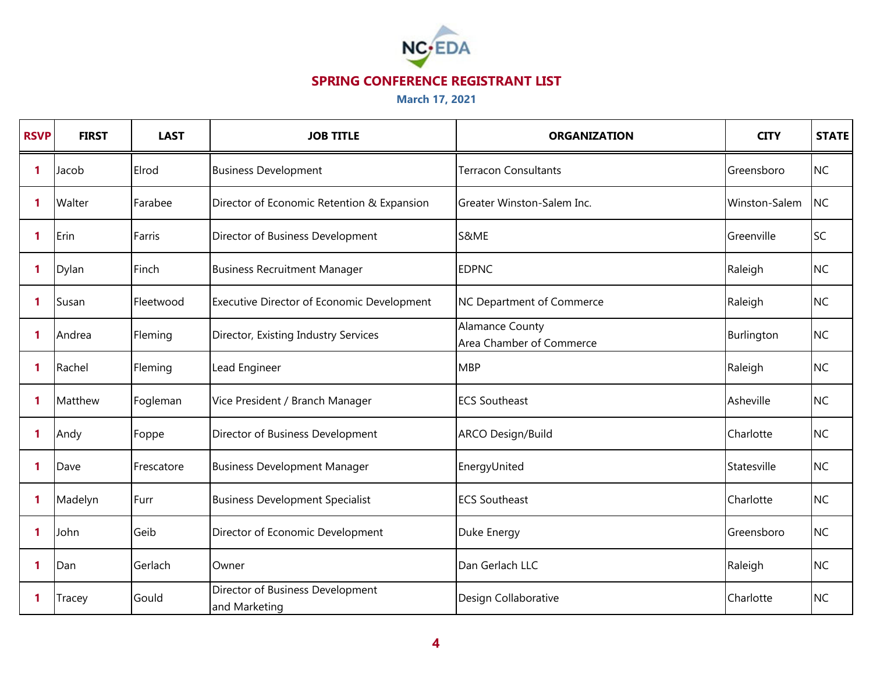

| <b>RSVP</b>  | <b>FIRST</b>  | <b>LAST</b> | <b>JOB TITLE</b>                                  | <b>ORGANIZATION</b>                                | <b>CITY</b>   | <b>STATE</b> |
|--------------|---------------|-------------|---------------------------------------------------|----------------------------------------------------|---------------|--------------|
| 1            | Jacob         | Elrod       | <b>Business Development</b>                       | <b>Terracon Consultants</b>                        | Greensboro    | <b>NC</b>    |
| -1           | Walter        | Farabee     | Director of Economic Retention & Expansion        | <b>I</b> Greater Winston-Salem Inc.                | Winston-Salem | <b>NC</b>    |
| 1            | Erin          | Farris      | Director of Business Development                  | S&ME                                               | Greenville    | <b>SC</b>    |
| $\mathbf{1}$ | Dylan         | Finch       | <b>Business Recruitment Manager</b>               | <b>EDPNC</b>                                       | Raleigh       | <b>NC</b>    |
| 1            | Susan         | Fleetwood   | Executive Director of Economic Development        | <b>NC Department of Commerce</b>                   | Raleigh       | <b>NC</b>    |
| $\mathbf 1$  | Andrea        | Fleming     | Director, Existing Industry Services              | <b>Alamance County</b><br>Area Chamber of Commerce | Burlington    | <b>NC</b>    |
| $\mathbf 1$  | Rachel        | Fleming     | Lead Engineer                                     | <b>MBP</b>                                         | Raleigh       | <b>NC</b>    |
| $\mathbf 1$  | Matthew       | Fogleman    | Vice President / Branch Manager                   | <b>ECS Southeast</b>                               | Asheville     | <b>NC</b>    |
| $\mathbf{1}$ | Andy          | Foppe       | Director of Business Development                  | ARCO Design/Build                                  | Charlotte     | <b>NC</b>    |
| $\mathbf 1$  | Dave          | Frescatore  | <b>Business Development Manager</b>               | EnergyUnited                                       | Statesville   | <b>NC</b>    |
| $\mathbf{1}$ | Madelyn       | Furr        | <b>Business Development Specialist</b>            | <b>ECS Southeast</b>                               | Charlotte     | <b>NC</b>    |
| $\mathbf 1$  | John          | Geib        | Director of Economic Development                  | Duke Energy                                        | Greensboro    | <b>NC</b>    |
| $\mathbf 1$  | Dan           | Gerlach     | Owner                                             | Dan Gerlach LLC                                    | Raleigh       | <b>NC</b>    |
| $\mathbf{1}$ | <b>Tracey</b> | Gould       | Director of Business Development<br>and Marketing | Design Collaborative                               | Charlotte     | <b>NC</b>    |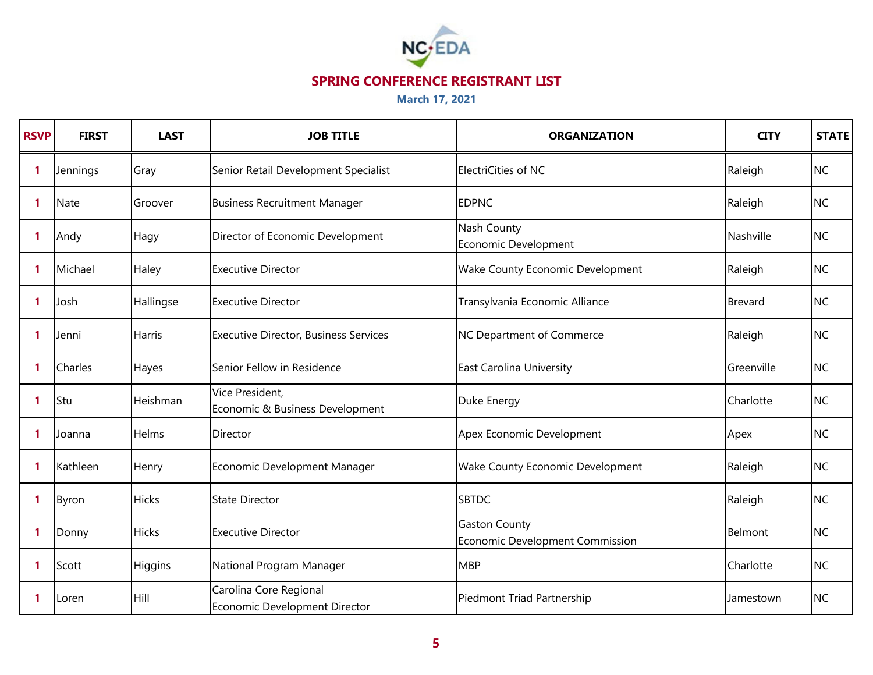

| <b>RSVP</b>  | <b>FIRST</b> | <b>LAST</b>   | <b>JOB TITLE</b>                                        | <b>ORGANIZATION</b>                                     | <b>CITY</b>    | <b>STATE</b> |
|--------------|--------------|---------------|---------------------------------------------------------|---------------------------------------------------------|----------------|--------------|
| 1            | Jennings     | Gray          | Senior Retail Development Specialist                    | ElectriCities of NC                                     | Raleigh        | <b>NC</b>    |
| $\mathbf{1}$ | <b>Nate</b>  | Groover       | <b>Business Recruitment Manager</b>                     | <b>EDPNC</b>                                            | Raleigh        | <b>NC</b>    |
| $\mathbf{1}$ | Andy         | Hagy          | Director of Economic Development                        | Nash County<br>Economic Development                     | Nashville      | <b>NC</b>    |
| $\mathbf{1}$ | Michael      | Haley         | <b>Executive Director</b>                               | Wake County Economic Development                        | Raleigh        | <b>NC</b>    |
| $\mathbf{1}$ | Josh         | Hallingse     | <b>Executive Director</b>                               | Transylvania Economic Alliance                          | <b>Brevard</b> | <b>NC</b>    |
| -1           | Jenni        | <b>Harris</b> | <b>Executive Director, Business Services</b>            | NC Department of Commerce                               | Raleigh        | <b>NC</b>    |
| 1            | Charles      | Hayes         | Senior Fellow in Residence                              | <b>East Carolina University</b>                         | Greenville     | <b>NC</b>    |
| $\mathbf{1}$ | Stu          | Heishman      | Vice President,<br>Economic & Business Development      | Duke Energy                                             | Charlotte      | <b>NC</b>    |
| $\mathbf{1}$ | Joanna       | <b>Helms</b>  | Director                                                | Apex Economic Development                               | Apex           | <b>NC</b>    |
| $\mathbf{1}$ | Kathleen     | Henry         | Economic Development Manager                            | Wake County Economic Development                        | Raleigh        | <b>NC</b>    |
| 1            | Byron        | <b>Hicks</b>  | <b>State Director</b>                                   | <b>SBTDC</b>                                            | Raleigh        | <b>NC</b>    |
| $\mathbf{1}$ | Donny        | <b>Hicks</b>  | <b>Executive Director</b>                               | <b>Gaston County</b><br>Economic Development Commission | Belmont        | <b>NC</b>    |
| $\mathbf{1}$ | Scott        | Higgins       | National Program Manager                                | <b>MBP</b>                                              | Charlotte      | <b>NC</b>    |
| -1           | Loren        | Hill          | Carolina Core Regional<br>Economic Development Director | Piedmont Triad Partnership                              | Jamestown      | <b>NC</b>    |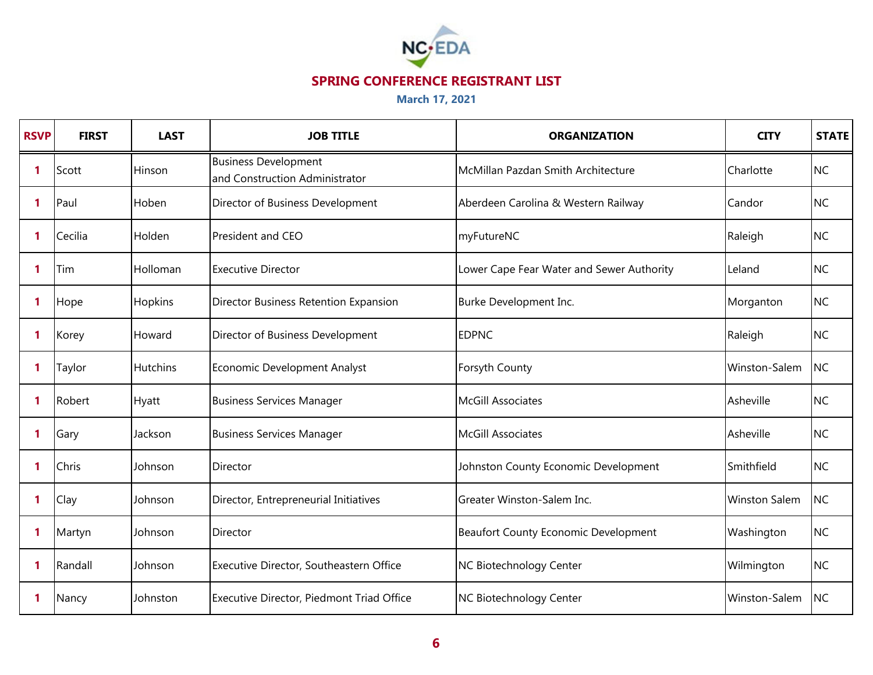

| <b>RSVP</b> | <b>FIRST</b> | <b>LAST</b>     | <b>JOB TITLE</b>                                              | <b>ORGANIZATION</b>                       | <b>CITY</b>          | <b>STATE</b> |
|-------------|--------------|-----------------|---------------------------------------------------------------|-------------------------------------------|----------------------|--------------|
| 1           | Scott        | Hinson          | <b>Business Development</b><br>and Construction Administrator | McMillan Pazdan Smith Architecture        | Charlotte            | <b>NC</b>    |
| $\mathbf 1$ | Paul         | Hoben           | Director of Business Development                              | Aberdeen Carolina & Western Railway       | Candor               | <b>NC</b>    |
| $\mathbf 1$ | Cecilia      | Holden          | President and CEO                                             | myFutureNC                                | Raleigh              | <b>NC</b>    |
| 1           | Tim          | Holloman        | <b>Executive Director</b>                                     | Lower Cape Fear Water and Sewer Authority | Leland               | <b>NC</b>    |
| 1           | Hope         | Hopkins         | Director Business Retention Expansion                         | Burke Development Inc.                    | Morganton            | <b>NC</b>    |
| 1           | Korey        | Howard          | Director of Business Development                              | <b>EDPNC</b>                              | Raleigh              | <b>NC</b>    |
| 1           | Taylor       | <b>Hutchins</b> | Economic Development Analyst                                  | Forsyth County                            | Winston-Salem        | <b>NC</b>    |
| $\mathbf 1$ | Robert       | <b>Hyatt</b>    | <b>Business Services Manager</b>                              | <b>McGill Associates</b>                  | Asheville            | <b>NC</b>    |
| 1           | Gary         | Jackson         | <b>Business Services Manager</b>                              | <b>McGill Associates</b>                  | Asheville            | <b>NC</b>    |
| $\mathbf 1$ | Chris        | Johnson         | Director                                                      | Johnston County Economic Development      | Smithfield           | <b>NC</b>    |
| 1           | Clay         | Johnson         | Director, Entrepreneurial Initiatives                         | Greater Winston-Salem Inc.                | <b>Winston Salem</b> | <b>NC</b>    |
| 1           | Martyn       | Johnson         | Director                                                      | Beaufort County Economic Development      | Washington           | <b>NC</b>    |
| 1           | Randall      | Johnson         | Executive Director, Southeastern Office                       | NC Biotechnology Center                   | Wilmington           | <b>NC</b>    |
| 1           | Nancy        | Johnston        | Executive Director, Piedmont Triad Office                     | NC Biotechnology Center                   | Winston-Salem        | <b>NC</b>    |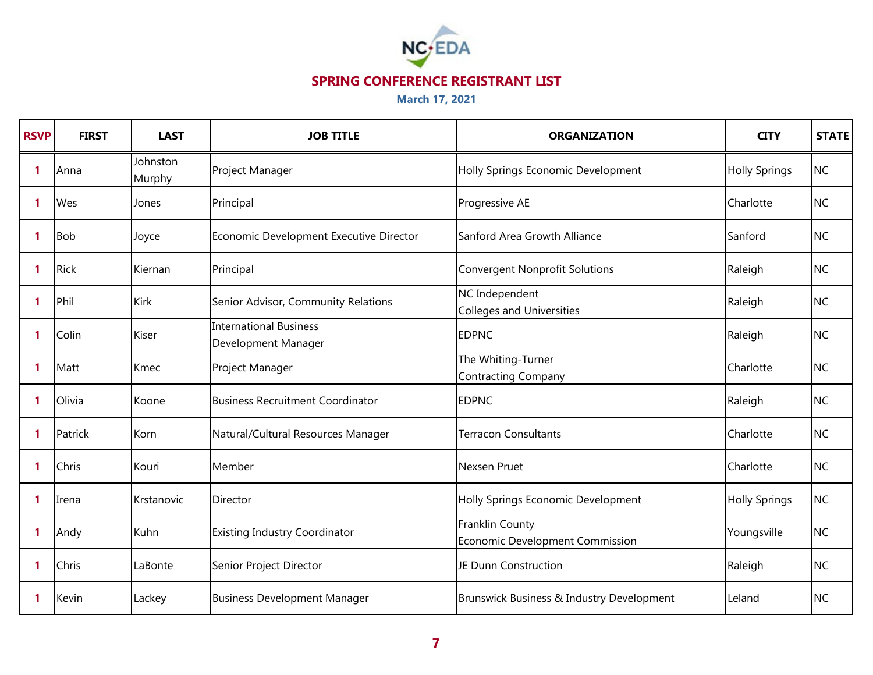

| <b>RSVP</b>  | <b>FIRST</b> | <b>LAST</b>        | <b>JOB TITLE</b>                                     | <b>ORGANIZATION</b>                                | <b>CITY</b>          | <b>STATE</b> |
|--------------|--------------|--------------------|------------------------------------------------------|----------------------------------------------------|----------------------|--------------|
| 1            | Anna         | Johnston<br>Murphy | Project Manager                                      | Holly Springs Economic Development                 | <b>Holly Springs</b> | <b>NC</b>    |
| $\mathbf 1$  | Wes          | Jones              | Principal                                            | Progressive AE                                     | Charlotte            | <b>NC</b>    |
| -1           | <b>Bob</b>   | Joyce              | Economic Development Executive Director              | Sanford Area Growth Alliance                       | Sanford              | <b>NC</b>    |
| $\mathbf 1$  | <b>Rick</b>  | Kiernan            | Principal                                            | <b>Convergent Nonprofit Solutions</b>              | Raleigh              | <b>NC</b>    |
| -1           | Phil         | <b>Kirk</b>        | Senior Advisor, Community Relations                  | NC Independent<br><b>Colleges and Universities</b> | Raleigh              | <b>NC</b>    |
| $\mathbf 1$  | Colin        | Kiser              | <b>International Business</b><br>Development Manager | <b>EDPNC</b>                                       | Raleigh              | <b>NC</b>    |
| $\mathbf 1$  | Matt         | Kmec               | Project Manager                                      | The Whiting-Turner<br><b>Contracting Company</b>   | Charlotte            | <b>NC</b>    |
| -1           | Olivia       | Koone              | <b>Business Recruitment Coordinator</b>              | <b>EDPNC</b>                                       | Raleigh              | <b>NC</b>    |
| $\mathbf 1$  | Patrick      | Korn               | Natural/Cultural Resources Manager                   | <b>Terracon Consultants</b>                        | Charlotte            | <b>NC</b>    |
| $\mathbf 1$  | Chris        | Kouri              | Member                                               | Nexsen Pruet                                       | Charlotte            | <b>NC</b>    |
| $\mathbf{1}$ | Irena        | Krstanovic         | Director                                             | Holly Springs Economic Development                 | <b>Holly Springs</b> | <b>NC</b>    |
| $\mathbf{1}$ | Andy         | Kuhn               | <b>Existing Industry Coordinator</b>                 | Franklin County<br>Economic Development Commission | Youngsville          | <b>NC</b>    |
| $\mathbf 1$  | Chris        | LaBonte            | Senior Project Director                              | JE Dunn Construction                               | Raleigh              | <b>NC</b>    |
| -1           | Kevin        | Lackey             | <b>Business Development Manager</b>                  | Brunswick Business & Industry Development          | Leland               | <b>NC</b>    |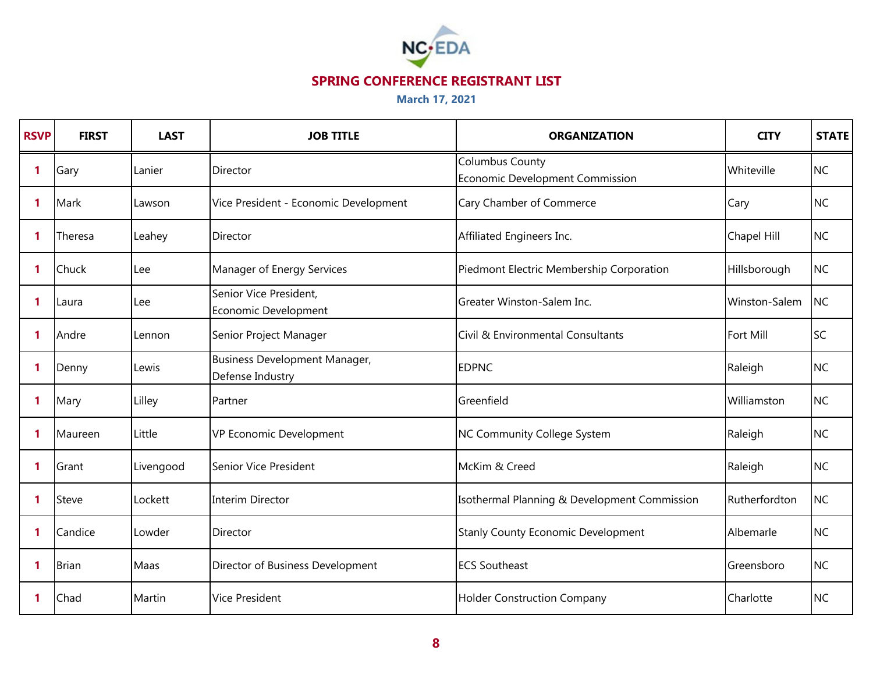

| <b>RSVP</b>  | <b>FIRST</b> | <b>LAST</b> | <b>JOB TITLE</b>                                  | <b>ORGANIZATION</b>                                       | <b>CITY</b>      | <b>STATE</b> |
|--------------|--------------|-------------|---------------------------------------------------|-----------------------------------------------------------|------------------|--------------|
| $\mathbf{1}$ | Gary         | Lanier      | Director                                          | <b>Columbus County</b><br>Economic Development Commission | Whiteville       | <b>NC</b>    |
| $\mathbf{1}$ | Mark         | Lawson      | Vice President - Economic Development             | Cary Chamber of Commerce                                  | Cary             | <b>NC</b>    |
| $\mathbf{1}$ | Theresa      | Leahey      | Director                                          | Affiliated Engineers Inc.                                 | Chapel Hill      | <b>NC</b>    |
| $\mathbf{1}$ | Chuck        | Lee         | Manager of Energy Services                        | Piedmont Electric Membership Corporation                  | Hillsborough     | <b>NC</b>    |
| 1            | Laura        | Lee         | Senior Vice President,<br>Economic Development    | Greater Winston-Salem Inc.                                | Winston-Salem    | <b>NC</b>    |
| $\mathbf{1}$ | Andre        | Lennon      | Senior Project Manager                            | Civil & Environmental Consultants                         | <b>Fort Mill</b> | <b>SC</b>    |
| 1            | Denny        | Lewis       | Business Development Manager,<br>Defense Industry | <b>EDPNC</b>                                              | Raleigh          | <b>NC</b>    |
| 1            | Mary         | Lilley      | Partner                                           | Greenfield                                                | Williamston      | <b>NC</b>    |
| $\mathbf{1}$ | Maureen      | Little      | VP Economic Development                           | NC Community College System                               | Raleigh          | <b>NC</b>    |
| $\mathbf{1}$ | Grant        | Livengood   | Senior Vice President                             | McKim & Creed                                             | Raleigh          | <b>NC</b>    |
| $\mathbf{1}$ | Steve        | Lockett     | <b>Interim Director</b>                           | Isothermal Planning & Development Commission              | Rutherfordton    | <b>NC</b>    |
| $\mathbf{1}$ | Candice      | Lowder      | Director                                          | <b>Stanly County Economic Development</b>                 | Albemarle        | <b>NC</b>    |
| $\mathbf{1}$ | <b>Brian</b> | Maas        | Director of Business Development                  | <b>ECS Southeast</b>                                      | Greensboro       | <b>NC</b>    |
| $\mathbf{1}$ | Chad         | Martin      | <b>Vice President</b>                             | <b>Holder Construction Company</b>                        | Charlotte        | <b>NC</b>    |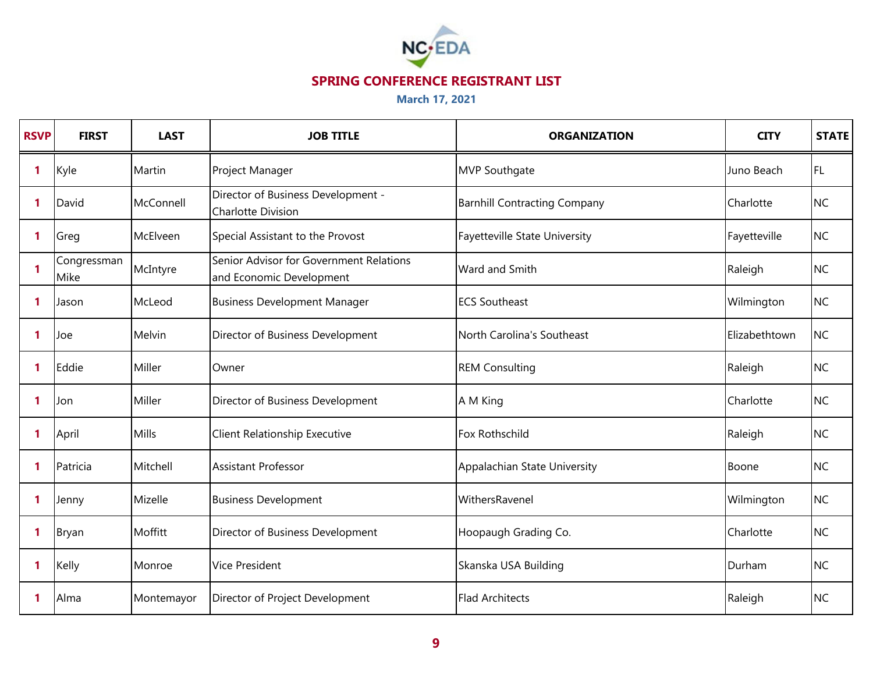

| <b>RSVP</b> | <b>FIRST</b>        | <b>LAST</b> | <b>JOB TITLE</b>                                                    | <b>ORGANIZATION</b>                 | <b>CITY</b>   | <b>STATE</b> |
|-------------|---------------------|-------------|---------------------------------------------------------------------|-------------------------------------|---------------|--------------|
| 1           | Kyle                | Martin      | Project Manager                                                     | <b>MVP Southgate</b>                | Juno Beach    | IFL.         |
| 1           | David               | McConnell   | Director of Business Development -<br>Charlotte Division            | <b>Barnhill Contracting Company</b> | Charlotte     | <b>NC</b>    |
| 1           | Greg                | McElveen    | Special Assistant to the Provost                                    | Fayetteville State University       | Fayetteville  | <b>NC</b>    |
| 1           | Congressman<br>Mike | McIntyre    | Senior Advisor for Government Relations<br>and Economic Development | Ward and Smith                      | Raleigh       | <b>NC</b>    |
| 1           | Jason               | McLeod      | <b>Business Development Manager</b>                                 | <b>ECS Southeast</b>                | Wilmington    | <b>NC</b>    |
| 1           | Joe                 | Melvin      | Director of Business Development                                    | North Carolina's Southeast          | Elizabethtown | <b>NC</b>    |
| 1           | Eddie               | Miller      | Owner                                                               | <b>REM Consulting</b>               | Raleigh       | <b>NC</b>    |
| 1           | Jon                 | Miller      | Director of Business Development                                    | A M King                            | Charlotte     | <b>NC</b>    |
| 1           | April               | Mills       | Client Relationship Executive                                       | Fox Rothschild                      | Raleigh       | <b>NC</b>    |
| 1           | Patricia            | Mitchell    | <b>Assistant Professor</b>                                          | Appalachian State University        | Boone         | <b>NC</b>    |
| 1           | Jenny               | Mizelle     | <b>Business Development</b>                                         | WithersRavenel                      | Wilmington    | <b>NC</b>    |
| 1           | <b>Bryan</b>        | Moffitt     | Director of Business Development                                    | Hoopaugh Grading Co.                | Charlotte     | <b>NC</b>    |
| 1           | Kelly               | Monroe      | <b>Vice President</b>                                               | Skanska USA Building                | Durham        | <b>NC</b>    |
| 1           | Alma                | Montemayor  | Director of Project Development                                     | <b>Flad Architects</b>              | Raleigh       | <b>NC</b>    |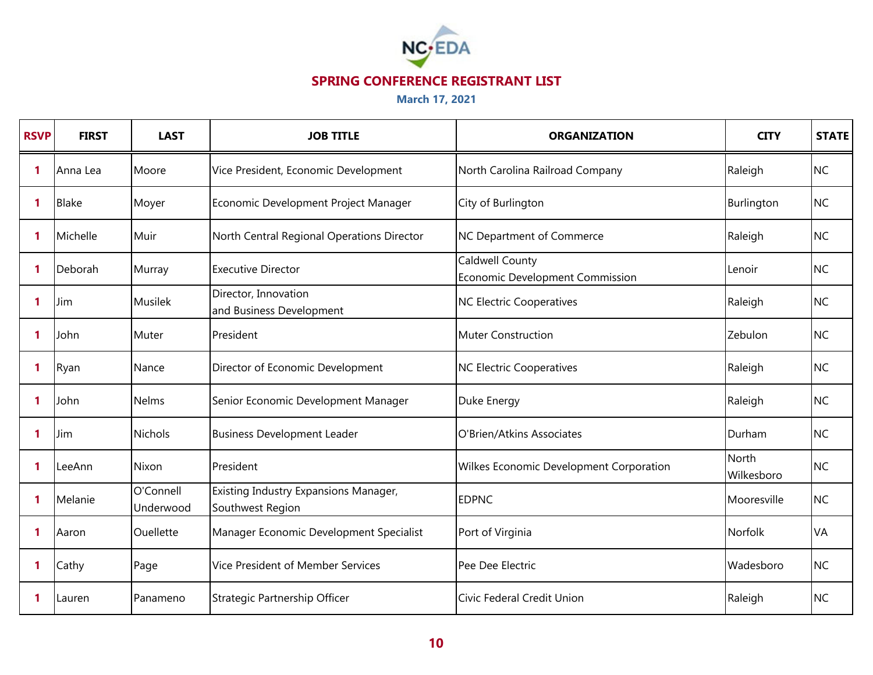

| <b>RSVP</b> | <b>FIRST</b> | <b>LAST</b>            | <b>JOB TITLE</b>                                          | <b>ORGANIZATION</b>                                | <b>CITY</b>                | <b>STATE</b> |
|-------------|--------------|------------------------|-----------------------------------------------------------|----------------------------------------------------|----------------------------|--------------|
| 1           | Anna Lea     | Moore                  | Vice President, Economic Development                      | North Carolina Railroad Company                    | Raleigh                    | <b>NC</b>    |
| 1           | <b>Blake</b> | Moyer                  | Economic Development Project Manager                      | City of Burlington                                 | Burlington                 | <b>NC</b>    |
| 1           | Michelle     | Muir                   | North Central Regional Operations Director                | NC Department of Commerce                          | Raleigh                    | <b>NC</b>    |
| 1           | Deborah      | Murray                 | <b>Executive Director</b>                                 | Caldwell County<br>Economic Development Commission | Lenoir                     | <b>NC</b>    |
| 1           | Jim          | Musilek                | Director, Innovation<br>and Business Development          | <b>NC Electric Cooperatives</b>                    | Raleigh                    | <b>NC</b>    |
| 1           | John         | Muter                  | President                                                 | <b>Muter Construction</b>                          | Zebulon                    | <b>NC</b>    |
| 1           | Ryan         | Nance                  | Director of Economic Development                          | <b>NC Electric Cooperatives</b>                    | Raleigh                    | <b>NC</b>    |
| 1           | John         | <b>Nelms</b>           | Senior Economic Development Manager                       | Duke Energy                                        | Raleigh                    | <b>NC</b>    |
| 1           | Jim          | <b>Nichols</b>         | <b>Business Development Leader</b>                        | O'Brien/Atkins Associates                          | Durham                     | <b>NC</b>    |
| 1           | LeeAnn       | Nixon                  | President                                                 | <b>Wilkes Economic Development Corporation</b>     | <b>North</b><br>Wilkesboro | <b>NC</b>    |
| 1           | Melanie      | O'Connell<br>Underwood | Existing Industry Expansions Manager,<br>Southwest Region | <b>EDPNC</b>                                       | Mooresville                | <b>NC</b>    |
| 1           | Aaron        | Ouellette              | Manager Economic Development Specialist                   | Port of Virginia                                   | <b>Norfolk</b>             | VA           |
| 1           | Cathy        | Page                   | Vice President of Member Services                         | Pee Dee Electric                                   | Wadesboro                  | <b>NC</b>    |
| 1           | Lauren       | Panameno               | Strategic Partnership Officer                             | Civic Federal Credit Union                         | Raleigh                    | <b>NC</b>    |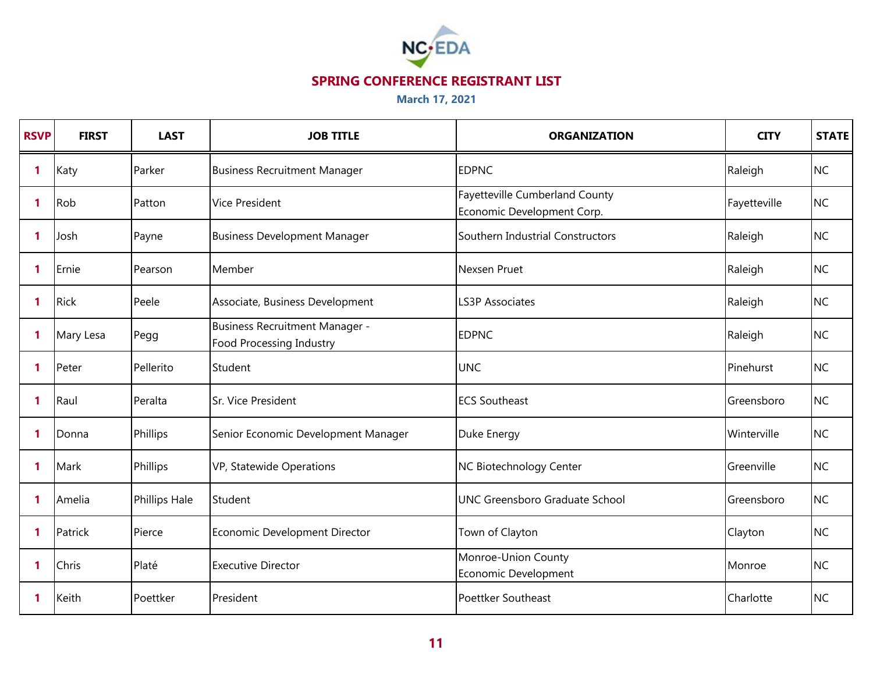

| <b>RSVP</b>  | <b>FIRST</b> | <b>LAST</b>          | <b>JOB TITLE</b>                                                  | <b>ORGANIZATION</b>                                          | <b>CITY</b>  | <b>STATE</b> |
|--------------|--------------|----------------------|-------------------------------------------------------------------|--------------------------------------------------------------|--------------|--------------|
| $\mathbf{1}$ | Katy         | Parker               | <b>Business Recruitment Manager</b>                               | <b>EDPNC</b>                                                 | Raleigh      | <b>NC</b>    |
| $\mathbf{1}$ | Rob          | Patton               | <b>Vice President</b>                                             | Fayetteville Cumberland County<br>Economic Development Corp. | Fayetteville | <b>NC</b>    |
| $\mathbf{1}$ | Josh         | Payne                | <b>Business Development Manager</b>                               | Southern Industrial Constructors                             | Raleigh      | <b>NC</b>    |
| $\mathbf{1}$ | Ernie        | Pearson              | Member                                                            | Nexsen Pruet                                                 | Raleigh      | <b>NC</b>    |
| $\mathbf{1}$ | <b>Rick</b>  | Peele                | Associate, Business Development                                   | <b>LS3P Associates</b>                                       | Raleigh      | <b>NC</b>    |
| $\mathbf{1}$ | Mary Lesa    | Pegg                 | Business Recruitment Manager -<br><b>Food Processing Industry</b> | <b>EDPNC</b>                                                 | Raleigh      | <b>NC</b>    |
| $\mathbf{1}$ | Peter        | Pellerito            | Student                                                           | <b>UNC</b>                                                   | Pinehurst    | <b>NC</b>    |
| $\mathbf{1}$ | Raul         | Peralta              | Sr. Vice President                                                | <b>ECS Southeast</b>                                         | Greensboro   | <b>NC</b>    |
| $\mathbf{1}$ | Donna        | Phillips             | Senior Economic Development Manager                               | Duke Energy                                                  | Winterville  | <b>NC</b>    |
| $\mathbf{1}$ | Mark         | Phillips             | VP, Statewide Operations                                          | NC Biotechnology Center                                      | Greenville   | <b>NC</b>    |
| $\mathbf{1}$ | Amelia       | <b>Phillips Hale</b> | Student                                                           | UNC Greensboro Graduate School                               | Greensboro   | <b>NC</b>    |
| $\mathbf{1}$ | Patrick      | Pierce               | Economic Development Director                                     | Town of Clayton                                              | Clayton      | <b>NC</b>    |
| $\mathbf{1}$ | Chris        | Platé                | <b>Executive Director</b>                                         | Monroe-Union County<br>Economic Development                  | Monroe       | <b>NC</b>    |
| $\mathbf{1}$ | Keith        | Poettker             | President                                                         | Poettker Southeast                                           | Charlotte    | <b>NC</b>    |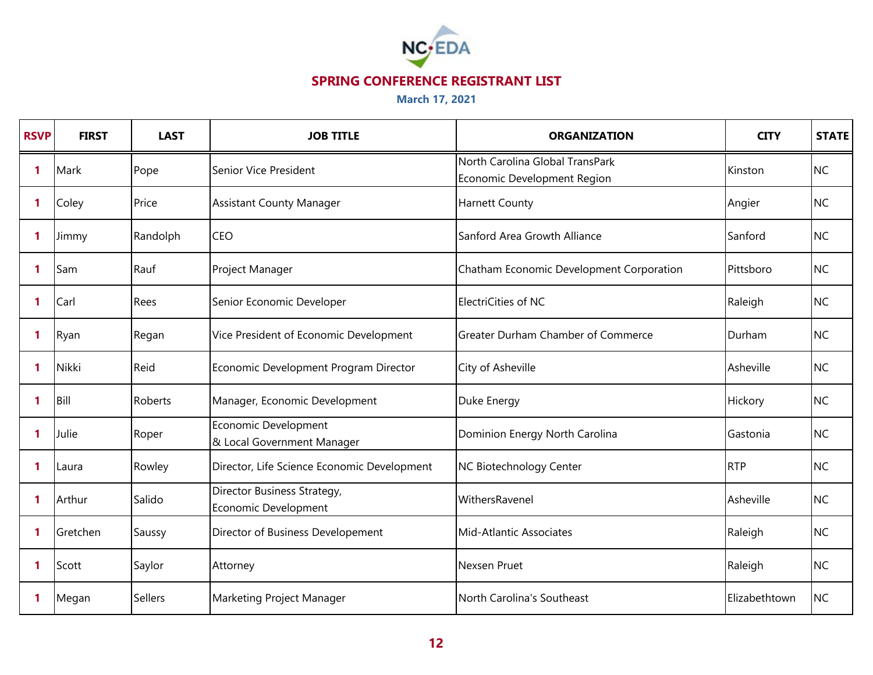

| <b>RSVP</b>  | <b>FIRST</b> | <b>LAST</b>    | <b>JOB TITLE</b>                                    | <b>ORGANIZATION</b>                                            | <b>CITY</b>   | <b>STATE</b> |
|--------------|--------------|----------------|-----------------------------------------------------|----------------------------------------------------------------|---------------|--------------|
| $\mathbf{1}$ | Mark         | Pope           | Senior Vice President                               | North Carolina Global TransPark<br>Economic Development Region | Kinston       | <b>NC</b>    |
| 1            | Coley        | Price          | <b>Assistant County Manager</b>                     | <b>Harnett County</b>                                          | Angier        | <b>NC</b>    |
| $\mathbf{1}$ | Jimmy        | Randolph       | <b>CEO</b>                                          | Sanford Area Growth Alliance                                   | Sanford       | <b>NC</b>    |
| -1           | Sam          | Rauf           | Project Manager                                     | Chatham Economic Development Corporation                       | Pittsboro     | <b>NC</b>    |
| $\mathbf{1}$ | Carl         | Rees           | Senior Economic Developer                           | ElectriCities of NC                                            | Raleigh       | <b>NC</b>    |
| $\mathbf{1}$ | Ryan         | Regan          | Vice President of Economic Development              | <b>Greater Durham Chamber of Commerce</b>                      | Durham        | <b>NC</b>    |
| 1            | <b>Nikki</b> | Reid           | Economic Development Program Director               | City of Asheville                                              | Asheville     | <b>NC</b>    |
| $\mathbf{1}$ | Bill         | Roberts        | Manager, Economic Development                       | Duke Energy                                                    | Hickory       | <b>NC</b>    |
| $\mathbf{1}$ | Julie        | Roper          | Economic Development<br>& Local Government Manager  | Dominion Energy North Carolina                                 | Gastonia      | <b>NC</b>    |
| $\mathbf{1}$ | Laura        | Rowley         | Director, Life Science Economic Development         | NC Biotechnology Center                                        | <b>RTP</b>    | <b>NC</b>    |
| $\mathbf{1}$ | Arthur       | Salido         | Director Business Strategy,<br>Economic Development | WithersRavenel                                                 | Asheville     | <b>NC</b>    |
| $\mathbf{1}$ | Gretchen     | Saussy         | Director of Business Developement                   | Mid-Atlantic Associates                                        | Raleigh       | <b>NC</b>    |
| $\mathbf{1}$ | Scott        | Saylor         | Attorney                                            | Nexsen Pruet                                                   | Raleigh       | <b>NC</b>    |
| 1            | Megan        | <b>Sellers</b> | Marketing Project Manager                           | North Carolina's Southeast                                     | Elizabethtown | <b>NC</b>    |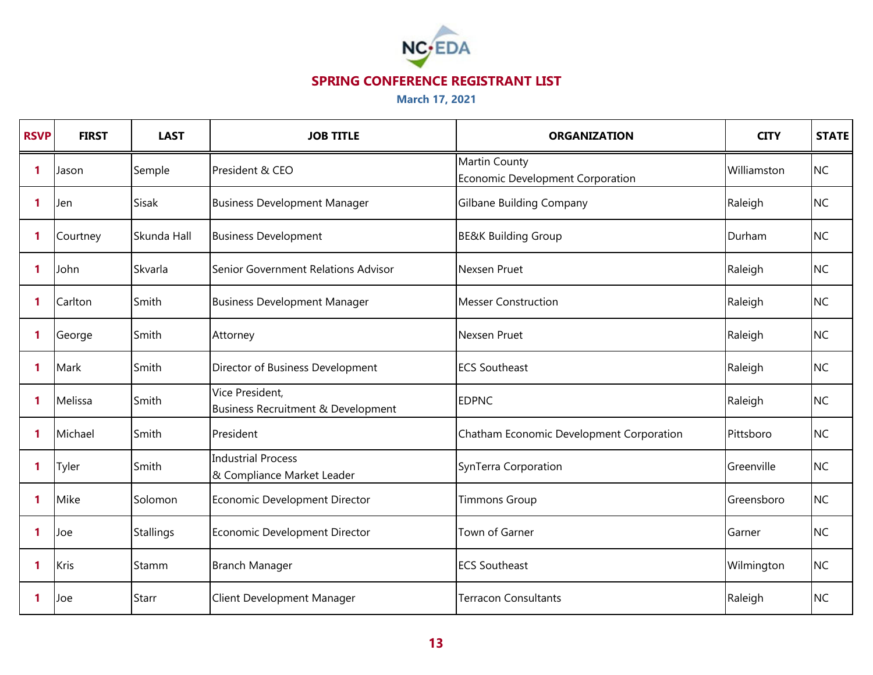

| <b>RSVP</b>  | <b>FIRST</b> | <b>LAST</b>      | <b>JOB TITLE</b>                                        | <b>ORGANIZATION</b>                               | <b>CITY</b> | <b>STATE</b> |
|--------------|--------------|------------------|---------------------------------------------------------|---------------------------------------------------|-------------|--------------|
| $\mathbf{1}$ | Jason        | Semple           | President & CEO                                         | Martin County<br>Economic Development Corporation | Williamston | <b>NC</b>    |
| -1           | Jen          | <b>Sisak</b>     | <b>Business Development Manager</b>                     | <b>Gilbane Building Company</b>                   | Raleigh     | <b>NC</b>    |
| 1            | Courtney     | Skunda Hall      | <b>Business Development</b>                             | <b>BE&amp;K Building Group</b>                    | Durham      | <b>NC</b>    |
| $\mathbf{1}$ | John         | Skvarla          | Senior Government Relations Advisor                     | Nexsen Pruet                                      | Raleigh     | <b>NC</b>    |
| $\mathbf{1}$ | Carlton      | Smith            | <b>Business Development Manager</b>                     | <b>Messer Construction</b>                        | Raleigh     | <b>NC</b>    |
| $\mathbf{1}$ | George       | Smith            | Attorney                                                | Nexsen Pruet                                      | Raleigh     | <b>NC</b>    |
| $\mathbf{1}$ | Mark         | Smith            | Director of Business Development                        | <b>ECS Southeast</b>                              | Raleigh     | <b>NC</b>    |
| $\mathbf{1}$ | Melissa      | Smith            | Vice President,<br>Business Recruitment & Development   | <b>EDPNC</b>                                      | Raleigh     | <b>NC</b>    |
| $\mathbf{1}$ | Michael      | Smith            | President                                               | Chatham Economic Development Corporation          | Pittsboro   | <b>NC</b>    |
| 1            | Tyler        | Smith            | <b>Industrial Process</b><br>& Compliance Market Leader | SynTerra Corporation                              | Greenville  | <b>NC</b>    |
| $\mathbf{1}$ | Mike         | Solomon          | Economic Development Director                           | <b>Timmons Group</b>                              | Greensboro  | <b>NC</b>    |
| $\mathbf{1}$ | Joe          | <b>Stallings</b> | Economic Development Director                           | Town of Garner                                    | Garner      | <b>NC</b>    |
| $\mathbf{1}$ | Kris         | Stamm            | <b>Branch Manager</b>                                   | <b>ECS Southeast</b>                              | Wilmington  | <b>NC</b>    |
| -1           | Joe          | Starr            | Client Development Manager                              | <b>Terracon Consultants</b>                       | Raleigh     | <b>NC</b>    |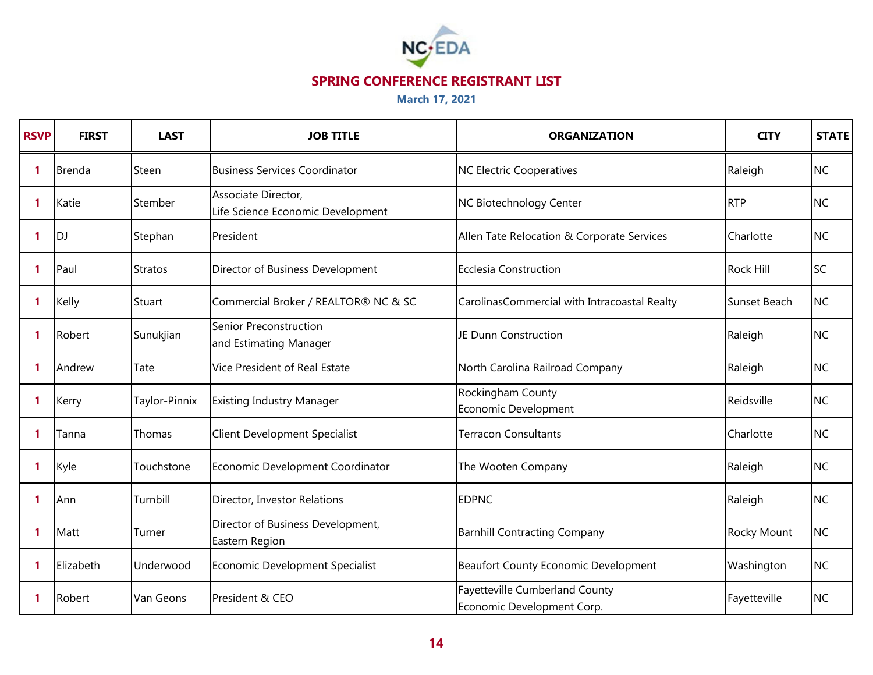

| <b>RSVP</b> | <b>FIRST</b>  | <b>LAST</b>    | <b>JOB TITLE</b>                                         | <b>ORGANIZATION</b>                                          | <b>CITY</b>      | <b>STATE</b> |
|-------------|---------------|----------------|----------------------------------------------------------|--------------------------------------------------------------|------------------|--------------|
| 1           | <b>Brenda</b> | Steen          | <b>Business Services Coordinator</b>                     | NC Electric Cooperatives                                     | Raleigh          | <b>NC</b>    |
| $\mathbf 1$ | Katie         | Stember        | Associate Director,<br>Life Science Economic Development | NC Biotechnology Center                                      | <b>RTP</b>       | <b>NC</b>    |
| 1           | <b>DJ</b>     | Stephan        | President                                                | Allen Tate Relocation & Corporate Services                   | Charlotte        | <b>NC</b>    |
| 1           | Paul          | <b>Stratos</b> | Director of Business Development                         | Ecclesia Construction                                        | <b>Rock Hill</b> | <b>SC</b>    |
| 1           | Kelly         | Stuart         | Commercial Broker / REALTOR® NC & SC                     | CarolinasCommercial with Intracoastal Realty                 | Sunset Beach     | <b>NC</b>    |
| $\mathbf 1$ | Robert        | Sunukjian      | Senior Preconstruction<br>and Estimating Manager         | JE Dunn Construction                                         | Raleigh          | <b>NC</b>    |
| $\mathbf 1$ | Andrew        | Tate           | Vice President of Real Estate                            | North Carolina Railroad Company                              | Raleigh          | <b>NC</b>    |
| 1           | Kerry         | Taylor-Pinnix  | <b>Existing Industry Manager</b>                         | Rockingham County<br>Economic Development                    | Reidsville       | <b>NC</b>    |
| 1           | Tanna         | Thomas         | <b>Client Development Specialist</b>                     | <b>Terracon Consultants</b>                                  | Charlotte        | <b>NC</b>    |
| 1           | Kyle          | Touchstone     | Economic Development Coordinator                         | The Wooten Company                                           | Raleigh          | <b>NC</b>    |
| 1           | Ann           | Turnbill       | Director, Investor Relations                             | <b>EDPNC</b>                                                 | Raleigh          | <b>NC</b>    |
| 1           | Matt          | Turner         | Director of Business Development,<br>Eastern Region      | <b>Barnhill Contracting Company</b>                          | Rocky Mount      | <b>NC</b>    |
| 1           | Elizabeth     | Underwood      | Economic Development Specialist                          | <b>Beaufort County Economic Development</b>                  | Washington       | <b>NC</b>    |
| 1           | Robert        | Van Geons      | President & CEO                                          | Fayetteville Cumberland County<br>Economic Development Corp. | Fayetteville     | <b>NC</b>    |